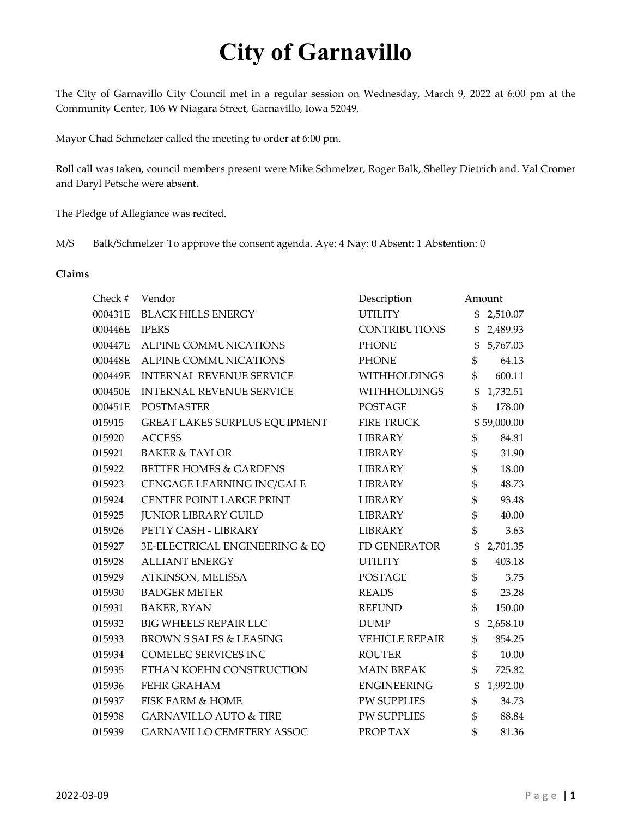The City of Garnavillo City Council met in a regular session on Wednesday, March 9, 2022 at 6:00 pm at the Community Center, 106 W Niagara Street, Garnavillo, Iowa 52049.

Mayor Chad Schmelzer called the meeting to order at 6:00 pm.

Roll call was taken, council members present were Mike Schmelzer, Roger Balk, Shelley Dietrich and. Val Cromer and Daryl Petsche were absent.

The Pledge of Allegiance was recited.

M/S Balk/Schmelzer To approve the consent agenda. Aye: 4 Nay: 0 Absent: 1 Abstention: 0

#### **Claims**

| Check # | Vendor                               | Description           |                | Amount      |
|---------|--------------------------------------|-----------------------|----------------|-------------|
| 000431E | <b>BLACK HILLS ENERGY</b>            | <b>UTILITY</b>        |                | \$2,510.07  |
| 000446E | <b>IPERS</b>                         | <b>CONTRIBUTIONS</b>  | \$             | 2,489.93    |
| 000447E | ALPINE COMMUNICATIONS                | <b>PHONE</b>          | \$             | 5,767.03    |
| 000448E | ALPINE COMMUNICATIONS                | <b>PHONE</b>          | \$             | 64.13       |
| 000449E | <b>INTERNAL REVENUE SERVICE</b>      | <b>WITHHOLDINGS</b>   | \$             | 600.11      |
| 000450E | <b>INTERNAL REVENUE SERVICE</b>      | <b>WITHHOLDINGS</b>   | $\mathfrak{S}$ | 1,732.51    |
| 000451E | <b>POSTMASTER</b>                    | <b>POSTAGE</b>        | \$             | 178.00      |
| 015915  | <b>GREAT LAKES SURPLUS EQUIPMENT</b> | FIRE TRUCK            |                | \$59,000.00 |
| 015920  | <b>ACCESS</b>                        | <b>LIBRARY</b>        | \$             | 84.81       |
| 015921  | <b>BAKER &amp; TAYLOR</b>            | <b>LIBRARY</b>        | \$             | 31.90       |
| 015922  | <b>BETTER HOMES &amp; GARDENS</b>    | <b>LIBRARY</b>        | \$             | 18.00       |
| 015923  | CENGAGE LEARNING INC/GALE            | <b>LIBRARY</b>        | \$             | 48.73       |
| 015924  | CENTER POINT LARGE PRINT             | <b>LIBRARY</b>        | \$             | 93.48       |
| 015925  | <b>JUNIOR LIBRARY GUILD</b>          | <b>LIBRARY</b>        | \$             | 40.00       |
| 015926  | PETTY CASH - LIBRARY                 | <b>LIBRARY</b>        | \$             | 3.63        |
| 015927  | 3E-ELECTRICAL ENGINEERING & EQ       | FD GENERATOR          | $\mathfrak{S}$ | 2,701.35    |
| 015928  | <b>ALLIANT ENERGY</b>                | <b>UTILITY</b>        | \$             | 403.18      |
| 015929  | ATKINSON, MELISSA                    | <b>POSTAGE</b>        | \$             | 3.75        |
| 015930  | <b>BADGER METER</b>                  | <b>READS</b>          | $\mathfrak{S}$ | 23.28       |
| 015931  | <b>BAKER, RYAN</b>                   | <b>REFUND</b>         | \$             | 150.00      |
| 015932  | <b>BIG WHEELS REPAIR LLC</b>         | <b>DUMP</b>           | $\mathfrak{S}$ | 2,658.10    |
| 015933  | <b>BROWN S SALES &amp; LEASING</b>   | <b>VEHICLE REPAIR</b> | \$             | 854.25      |
| 015934  | <b>COMELEC SERVICES INC</b>          | <b>ROUTER</b>         | \$             | 10.00       |
| 015935  | ETHAN KOEHN CONSTRUCTION             | <b>MAIN BREAK</b>     | \$             | 725.82      |
| 015936  | <b>FEHR GRAHAM</b>                   | <b>ENGINEERING</b>    | \$             | 1,992.00    |
| 015937  | <b>FISK FARM &amp; HOME</b>          | <b>PW SUPPLIES</b>    | \$             | 34.73       |
| 015938  | <b>GARNAVILLO AUTO &amp; TIRE</b>    | <b>PW SUPPLIES</b>    | \$             | 88.84       |
| 015939  | <b>GARNAVILLO CEMETERY ASSOC</b>     | PROP TAX              | \$             | 81.36       |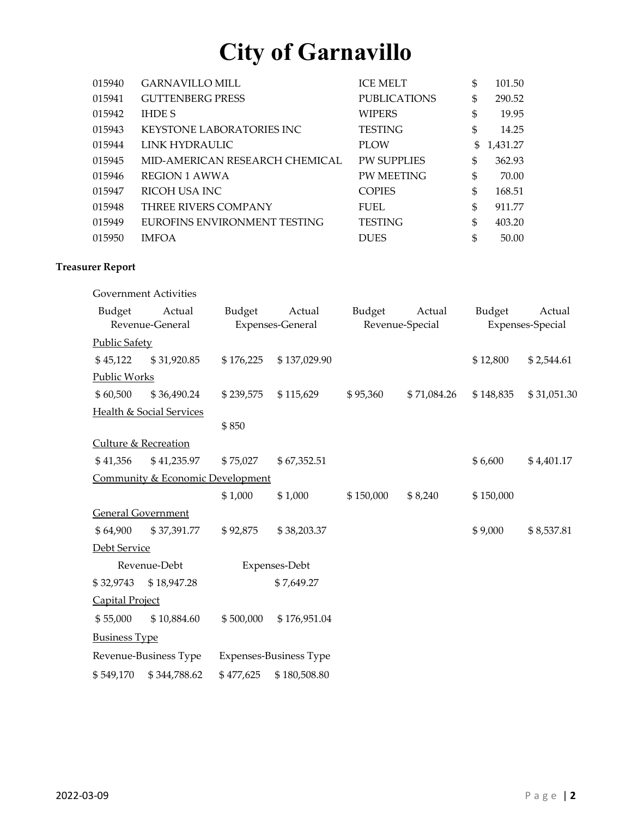| 015940 | <b>GARNAVILLO MILL</b>            | <b>ICE MELT</b>     | \$<br>101.50   |
|--------|-----------------------------------|---------------------|----------------|
| 015941 | <b>GUTTENBERG PRESS</b>           | <b>PUBLICATIONS</b> | \$<br>290.52   |
| 015942 | <b>IHDE S</b>                     | <b>WIPERS</b>       | \$<br>19.95    |
| 015943 | <b>KEYSTONE LABORATORIES INC.</b> | <b>TESTING</b>      | \$<br>14.25    |
| 015944 | LINK HYDRAULIC                    | <b>PLOW</b>         | \$<br>1,431.27 |
| 015945 | MID-AMERICAN RESEARCH CHEMICAL    | <b>PW SUPPLIES</b>  | \$<br>362.93   |
| 015946 | <b>REGION 1 AWWA</b>              | <b>PW MEETING</b>   | \$<br>70.00    |
| 015947 | RICOH USA INC                     | <b>COPIES</b>       | \$<br>168.51   |
| 015948 | <b>THREE RIVERS COMPANY</b>       | <b>FUEL</b>         | \$<br>911.77   |
| 015949 | EUROFINS ENVIRONMENT TESTING      | <b>TESTING</b>      | \$<br>403.20   |
| 015950 | <b>IMFOA</b>                      | <b>DUES</b>         | \$<br>50.00    |

### **Treasurer Report**

|                                  | <b>Government Activities</b>        |                  |                               |                 |             |                  |             |
|----------------------------------|-------------------------------------|------------------|-------------------------------|-----------------|-------------|------------------|-------------|
| Budget                           | Actual                              | Budget           | Actual                        | Budget          | Actual      | Budget           | Actual      |
| Revenue-General                  |                                     | Expenses-General |                               | Revenue-Special |             | Expenses-Special |             |
| <b>Public Safety</b>             |                                     |                  |                               |                 |             |                  |             |
| \$45,122                         | \$31,920.85                         | \$176,225        | \$137,029.90                  |                 |             | \$12,800         | \$2,544.61  |
| Public Works                     |                                     |                  |                               |                 |             |                  |             |
| \$60,500                         | \$36,490.24                         | \$239,575        | \$115,629                     | \$95,360        | \$71,084.26 | \$148,835        | \$31,051.30 |
|                                  | <b>Health &amp; Social Services</b> |                  |                               |                 |             |                  |             |
|                                  |                                     | \$850            |                               |                 |             |                  |             |
| <b>Culture &amp; Recreation</b>  |                                     |                  |                               |                 |             |                  |             |
| \$41,356                         | \$41,235.97                         | \$75,027         | \$67,352.51                   |                 |             | \$6,600          | \$4,401.17  |
| Community & Economic Development |                                     |                  |                               |                 |             |                  |             |
|                                  |                                     | \$1,000          | \$1,000                       | \$150,000       | \$8,240     | \$150,000        |             |
| <b>General Government</b>        |                                     |                  |                               |                 |             |                  |             |
| \$64,900                         | \$37,391.77                         | \$92,875         | \$38,203.37                   |                 |             | \$9,000          | \$8,537.81  |
| Debt Service                     |                                     |                  |                               |                 |             |                  |             |
| Revenue-Debt                     |                                     |                  | Expenses-Debt                 |                 |             |                  |             |
| \$32,9743                        | \$18,947.28                         |                  | \$7,649.27                    |                 |             |                  |             |
| Capital Project                  |                                     |                  |                               |                 |             |                  |             |
| \$55,000                         | \$10,884.60                         | \$500,000        | \$176,951.04                  |                 |             |                  |             |
| <b>Business Type</b>             |                                     |                  |                               |                 |             |                  |             |
| Revenue-Business Type            |                                     |                  | <b>Expenses-Business Type</b> |                 |             |                  |             |
| \$549,170                        | \$344,788.62                        | \$477,625        | \$180,508.80                  |                 |             |                  |             |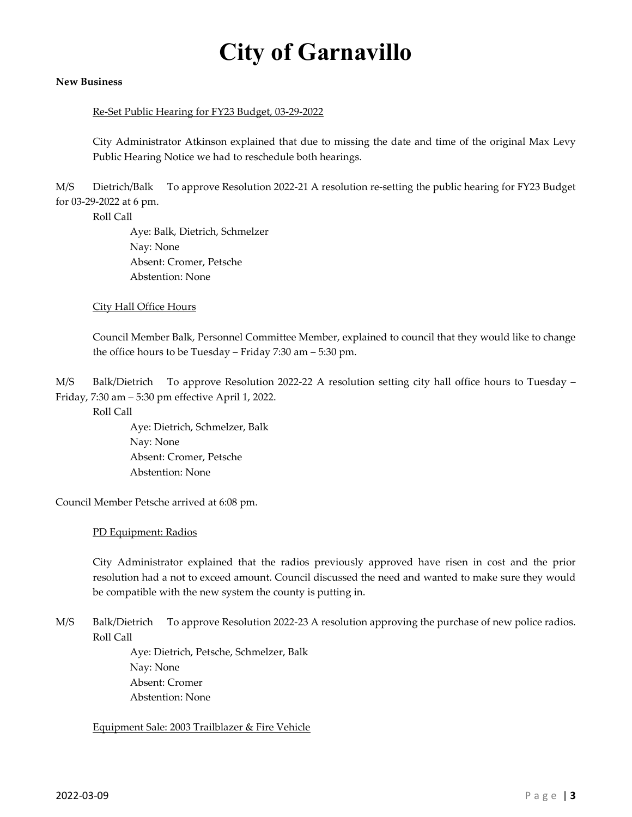#### **New Business**

#### Re-Set Public Hearing for FY23 Budget, 03-29-2022

City Administrator Atkinson explained that due to missing the date and time of the original Max Levy Public Hearing Notice we had to reschedule both hearings.

M/S Dietrich/Balk To approve Resolution 2022-21 A resolution re-setting the public hearing for FY23 Budget for 03-29-2022 at 6 pm.

Roll Call

 Aye: Balk, Dietrich, Schmelzer Nay: None Absent: Cromer, Petsche Abstention: None

#### City Hall Office Hours

Council Member Balk, Personnel Committee Member, explained to council that they would like to change the office hours to be Tuesday – Friday 7:30 am – 5:30 pm.

M/S Balk/Dietrich To approve Resolution 2022-22 A resolution setting city hall office hours to Tuesday – Friday, 7:30 am – 5:30 pm effective April 1, 2022.

Roll Call

 Aye: Dietrich, Schmelzer, Balk Nay: None Absent: Cromer, Petsche Abstention: None

Council Member Petsche arrived at 6:08 pm.

#### PD Equipment: Radios

City Administrator explained that the radios previously approved have risen in cost and the prior resolution had a not to exceed amount. Council discussed the need and wanted to make sure they would be compatible with the new system the county is putting in.

M/S Balk/Dietrich To approve Resolution 2022-23 A resolution approving the purchase of new police radios. Roll Call

> Aye: Dietrich, Petsche, Schmelzer, Balk Nay: None Absent: Cromer Abstention: None

#### Equipment Sale: 2003 Trailblazer & Fire Vehicle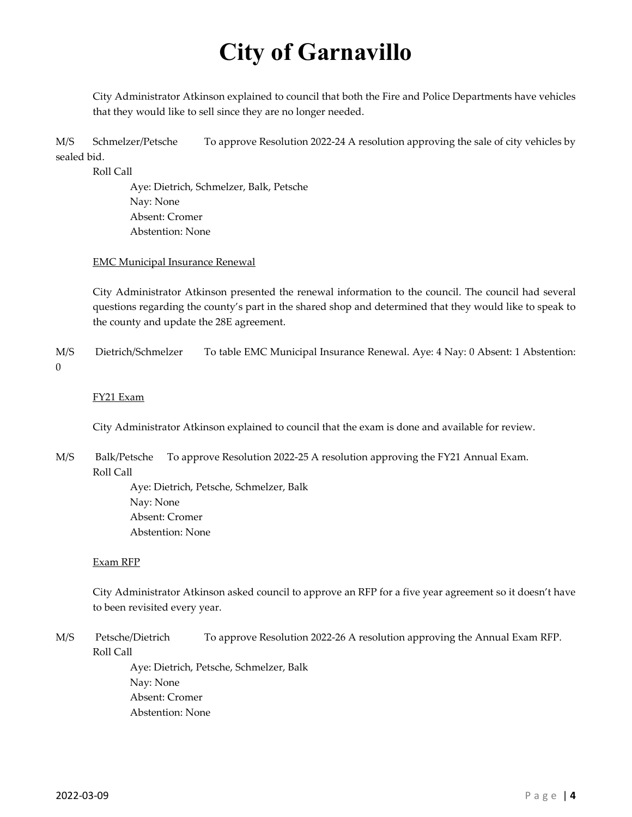City Administrator Atkinson explained to council that both the Fire and Police Departments have vehicles that they would like to sell since they are no longer needed.

M/S Schmelzer/Petsche To approve Resolution 2022-24 A resolution approving the sale of city vehicles by sealed bid.

Roll Call

 Aye: Dietrich, Schmelzer, Balk, Petsche Nay: None Absent: Cromer Abstention: None

EMC Municipal Insurance Renewal

City Administrator Atkinson presented the renewal information to the council. The council had several questions regarding the county's part in the shared shop and determined that they would like to speak to the county and update the 28E agreement.

M/S Dietrich/Schmelzer To table EMC Municipal Insurance Renewal. Aye: 4 Nay: 0 Absent: 1 Abstention: 0

#### FY21 Exam

City Administrator Atkinson explained to council that the exam is done and available for review.

M/S Balk/Petsche To approve Resolution 2022-25 A resolution approving the FY21 Annual Exam. Roll Call

> Aye: Dietrich, Petsche, Schmelzer, Balk Nay: None Absent: Cromer Abstention: None

#### Exam RFP

City Administrator Atkinson asked council to approve an RFP for a five year agreement so it doesn't have to been revisited every year.

M/S Petsche/Dietrich To approve Resolution 2022-26 A resolution approving the Annual Exam RFP. Roll Call

> Aye: Dietrich, Petsche, Schmelzer, Balk Nay: None Absent: Cromer Abstention: None